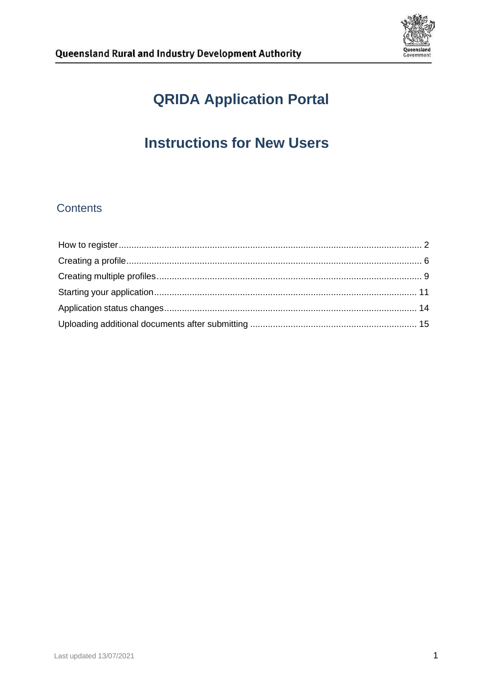

# **QRIDA Application Portal**

# **Instructions for New Users**

## **Contents**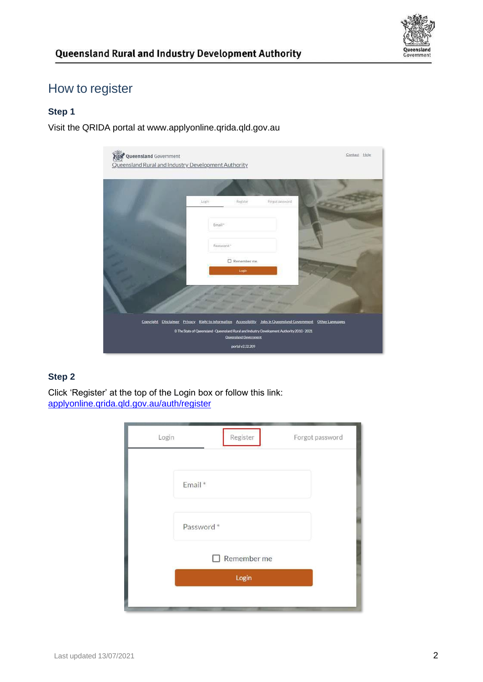

# <span id="page-1-0"></span>How to register

### **Step 1**

Visit the QRIDA portal at [www.applyonline.qrida.qld.gov.au](http://www.applyonline.qrida.qld.gov.au/)

| Queensland Government<br>Queensland Rural and Industry Development Authority |                                                                                                                                                                                                                             | Contact Help     |
|------------------------------------------------------------------------------|-----------------------------------------------------------------------------------------------------------------------------------------------------------------------------------------------------------------------------|------------------|
|                                                                              | Login<br>Register                                                                                                                                                                                                           | Forgot piassword |
|                                                                              | Email*                                                                                                                                                                                                                      |                  |
|                                                                              | Password *<br>Remember me<br>Login                                                                                                                                                                                          |                  |
|                                                                              |                                                                                                                                                                                                                             |                  |
| Copyright<br><b>Disclaimer</b>                                               | Privacy Right to information Accessibility Jobs in Queensland Government<br>C The State of Queensland - Queensland Rural and Industry Development Authority 2010 - 2021<br><b>Queersland Government</b><br>portal v2.32.209 | Other Languages  |

### **Step 2**

Click 'Register' at the top of the Login box or follow this link: [applyonline.qrida.qld.gov.au/auth/register](http://applyonline.qrida.qld.gov.au/auth/register)

| Login |           | Register    | Forgot password |
|-------|-----------|-------------|-----------------|
|       | Email *   |             |                 |
|       | Password* |             |                 |
|       |           | Remember me |                 |
|       |           | Login       |                 |
|       |           |             |                 |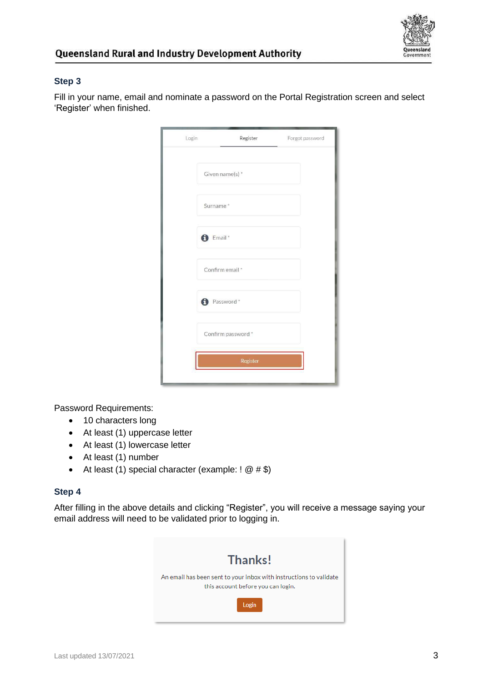

Fill in your name, email and nominate a password on the Portal Registration screen and select 'Register' when finished.

| Login | Register            | Forgot password |
|-------|---------------------|-----------------|
|       | Given name(s) *     |                 |
|       | Surname*            |                 |
|       | <sup>t</sup> Email* |                 |
|       | Confirm email *     |                 |
|       | <b>D</b> Password * |                 |
|       | Confirm password *  |                 |
|       | Register            |                 |
|       |                     |                 |

Password Requirements:

- 10 characters long
- At least (1) uppercase letter
- At least (1) lowercase letter
- At least (1) number
- At least (1) special character (example:  $! \; \mathcal{Q} \# \$ )

#### **Step 4**

After filling in the above details and clicking "Register", you will receive a message saying your email address will need to be validated prior to logging in.

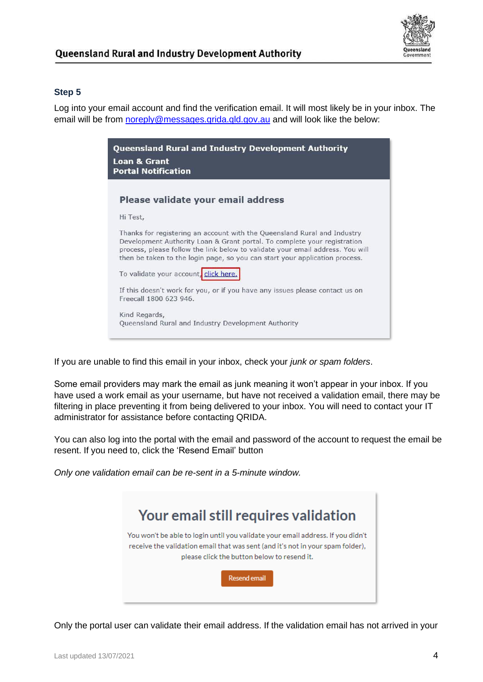

Log into your email account and find the verification email. It will most likely be in your inbox. The email will be from [noreply@messages.qrida.qld.gov.au](mailto:noreply@messages.qrida.qld.gov.au) and will look like the below:



If you are unable to find this email in your inbox, check your *junk or spam folders*.

Some email providers may mark the email as junk meaning it won't appear in your inbox. If you have used a work email as your username, but have not received a validation email, there may be filtering in place preventing it from being delivered to your inbox. You will need to contact your IT administrator for assistance before contacting QRIDA.

You can also log into the portal with the email and password of the account to request the email be resent. If you need to, click the 'Resend Email' button

*Only one validation email can be re-sent in a 5-minute window.*



Only the portal user can validate their email address. If the validation email has not arrived in your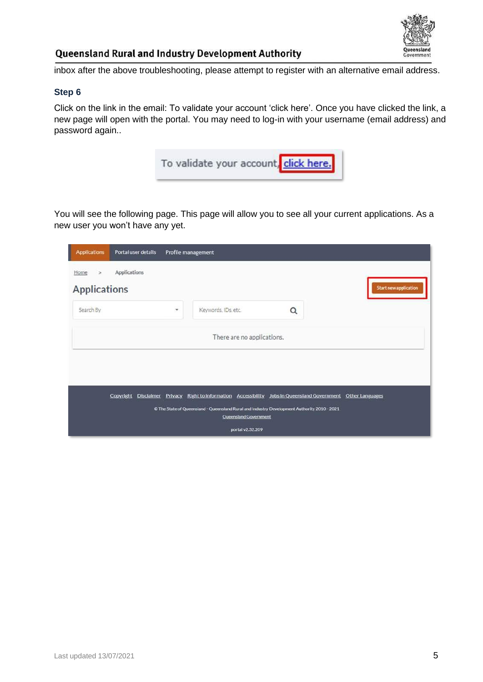

inbox after the above troubleshooting, please attempt to register with an alternative email address.

### **Step 6**

Click on the link in the email: To validate your account 'click here'. Once you have clicked the link, a new page will open with the portal. You may need to log-in with your username (email address) and password again..



You will see the following page. This page will allow you to see all your current applications. As a new user you won't have any yet.

| <b>Applications</b>                   | Portal user details |   | Profile management                                                                                                                                                                                 |                                           |   |                              |
|---------------------------------------|---------------------|---|----------------------------------------------------------------------------------------------------------------------------------------------------------------------------------------------------|-------------------------------------------|---|------------------------------|
| Home<br>$\geq$<br><b>Applications</b> | Applications        |   |                                                                                                                                                                                                    |                                           |   | <b>Start new application</b> |
| Search By                             |                     | ۰ | Keywords, IDs, etc.                                                                                                                                                                                |                                           | Q |                              |
|                                       |                     |   |                                                                                                                                                                                                    | There are no applications.                |   |                              |
|                                       | Copyright           |   | Disclaimer Privacy Right to information Accessibility Jobs in Queensland Government Other Languages<br>© The State of Queensland - Queensland Rural and Industry Development Authority 2010 - 2021 | Queensland Government<br>portal v2.32.209 |   |                              |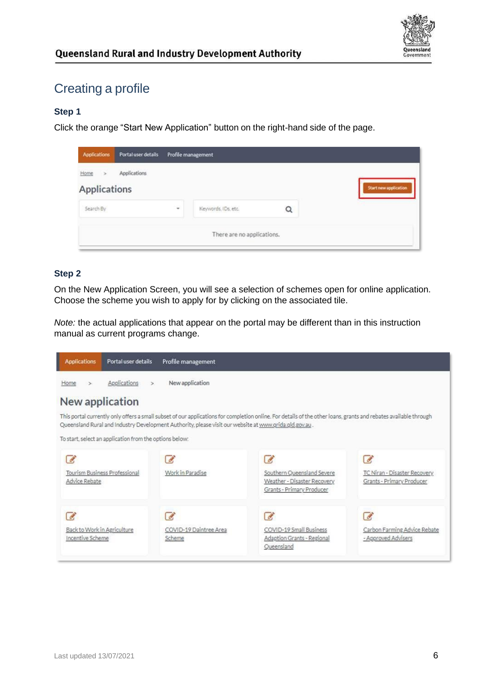

# <span id="page-5-0"></span>Creating a profile

### **Step 1**

Click the orange "Start New Application" button on the right-hand side of the page.

| <b>Applications</b>                   | Portal user details |        | Profile management         |   |                       |
|---------------------------------------|---------------------|--------|----------------------------|---|-----------------------|
| Home<br>$\rightarrow$<br>Applications | Applications        |        |                            |   | Start new application |
| Search By                             |                     | $\sim$ | Keywords, IDs. etc.        | Q |                       |
|                                       |                     |        | There are no applications. |   |                       |

### **Step 2**

On the New Application Screen, you will see a selection of schemes open for online application. Choose the scheme you wish to apply for by clicking on the associated tile.

*Note:* the actual applications that appear on the portal may be different than in this instruction manual as current programs change.

| <b>Applications</b>                             | Portal user details                                     | Profile management                                                                                     |                                                                                                                                                                  |                                                           |
|-------------------------------------------------|---------------------------------------------------------|--------------------------------------------------------------------------------------------------------|------------------------------------------------------------------------------------------------------------------------------------------------------------------|-----------------------------------------------------------|
| Home<br>>                                       | Applications<br>$\geq$                                  | New application                                                                                        |                                                                                                                                                                  |                                                           |
| New application                                 |                                                         |                                                                                                        |                                                                                                                                                                  |                                                           |
|                                                 |                                                         | Queensland Rural and Industry Development Authority, please visit our website at www.grida.gld.gov.au. | This portal currently only offers a small subset of our applications for completion online. For details of the other loans, grants and rebates available through |                                                           |
|                                                 | To start, select an application from the options below: |                                                                                                        |                                                                                                                                                                  |                                                           |
|                                                 |                                                         |                                                                                                        | d                                                                                                                                                                |                                                           |
| Advice Rebate                                   | Tourism Business Professional                           | Work in Paradise                                                                                       | Southern Queensland Severe<br>Weather - Disaster Recovery<br>Grants - Primary Producer                                                                           | TC Niran - Disaster Recovery<br>Grants - Primary Producer |
|                                                 |                                                         |                                                                                                        | $\mathscr{A}$                                                                                                                                                    |                                                           |
| Back to Work in Agriculture<br>Incentive Scheme |                                                         | COVID-19 Daintree Area<br>Scheme                                                                       | COVID-19 Small Business<br>Adaption Grants - Regional<br>Oueensland                                                                                              | Carbon Farming Advice Rebate<br>- Approved Advisers       |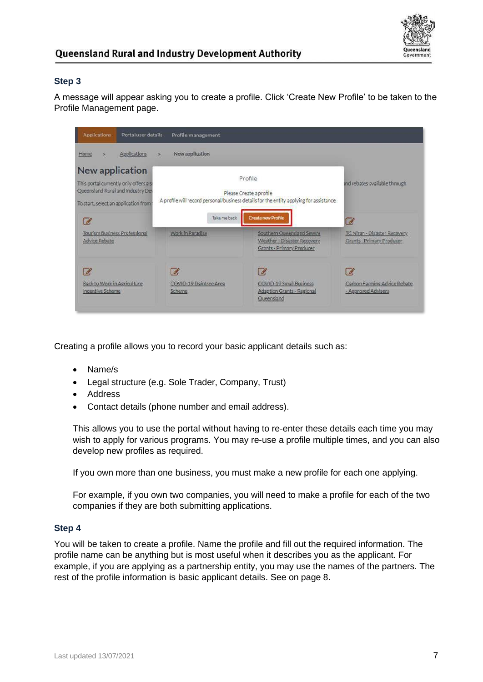

A message will appear asking you to create a profile. Click 'Create New Profile' to be taken to the Profile Management page.

| <b>Applications</b>                                                                                                                        | Portal user details | Profile management     |                                                                                                                                                            |                                                           |
|--------------------------------------------------------------------------------------------------------------------------------------------|---------------------|------------------------|------------------------------------------------------------------------------------------------------------------------------------------------------------|-----------------------------------------------------------|
| Applications<br>Home<br>$\geq$                                                                                                             | ×                   | New application        |                                                                                                                                                            |                                                           |
| New application<br>This portal currently only offers a si<br>Queensland Rural and Industry De<br>To start, select an application from<br>7 |                     | Take me back           | Profile<br>Please Create a profile<br>A profile will record personal/business details for the entity applying for assistance.<br><b>Create new Profile</b> | and rebates available through<br>13                       |
| <b>Tourism Business Professional</b><br>Advice Rebate                                                                                      |                     | Work in Paradise       | Southern Queensland Severe<br>Weather - Disaster Recovery<br>Grants - Primary Producer                                                                     | TC Niran - Disaster Recovery<br>Grants - Primary Producer |
| $\sigma$<br>Back to Work in Agriculture<br>Incentive Scheme                                                                                | Ø<br><b>Scheme</b>  | COVID-19 Daintree Area | B.<br>COVID-19 Small Business<br>Adaption Grants - Regional<br>Queensland                                                                                  | B<br>Carbon Farming Advice Rebate<br>- Approved Advisers  |

Creating a profile allows you to record your basic applicant details such as:

- Name/s
- Legal structure (e.g. Sole Trader, Company, Trust)
- Address
- Contact details (phone number and email address).

This allows you to use the portal without having to re-enter these details each time you may wish to apply for various programs. You may re-use a profile multiple times, and you can also develop new profiles as required.

If you own more than one business, you must make a new profile for each one applying.

For example, if you own two companies, you will need to make a profile for each of the two companies if they are both submitting applications.

#### **Step 4**

You will be taken to create a profile. Name the profile and fill out the required information. The profile name can be anything but is most useful when it describes you as the applicant. For example, if you are applying as a partnership entity, you may use the names of the partners. The rest of the profile information is basic applicant details. See on page 8.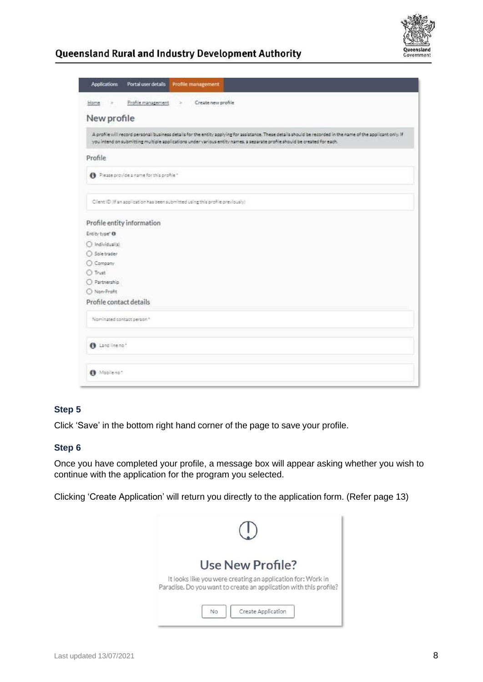

| <b>Applications</b>           | Profile management<br>Portal user details                                                                                                                                                                                                                                                   |
|-------------------------------|---------------------------------------------------------------------------------------------------------------------------------------------------------------------------------------------------------------------------------------------------------------------------------------------|
| Home.<br>$\scriptstyle\rm 30$ | Create new profile<br>Profile management<br>$\rightarrow$                                                                                                                                                                                                                                   |
| New profile                   |                                                                                                                                                                                                                                                                                             |
|                               | A profile will record personal business details for the entity applying for assistance. These details should be recorded in the name of the applicant only. If<br>you intend on submitting multiple applications under various entity names, a separate profile should be created for each. |
| Profile                       |                                                                                                                                                                                                                                                                                             |
|                               | Please provide a name for this profile "                                                                                                                                                                                                                                                    |
|                               | Client ID (If an application has been submitted using this profile previously)                                                                                                                                                                                                              |
| Profile entity information    |                                                                                                                                                                                                                                                                                             |
| Entity type" O                |                                                                                                                                                                                                                                                                                             |
| O Individualis)               |                                                                                                                                                                                                                                                                                             |
| Sole trader                   |                                                                                                                                                                                                                                                                                             |
| C Company                     |                                                                                                                                                                                                                                                                                             |
| O Trust                       |                                                                                                                                                                                                                                                                                             |
| O Partnership                 |                                                                                                                                                                                                                                                                                             |
| C Non-Profit                  |                                                                                                                                                                                                                                                                                             |
| Profile contact details       |                                                                                                                                                                                                                                                                                             |
| Nominated contact person."    |                                                                                                                                                                                                                                                                                             |
| A Land line no*               |                                                                                                                                                                                                                                                                                             |
| O Mobileno*                   |                                                                                                                                                                                                                                                                                             |

### **Step 5**

Click 'Save' in the bottom right hand corner of the page to save your profile.

#### **Step 6**

Once you have completed your profile, a message box will appear asking whether you wish to continue with the application for the program you selected.

Clicking 'Create Application' will return you directly to the application form. (Refer page 13)

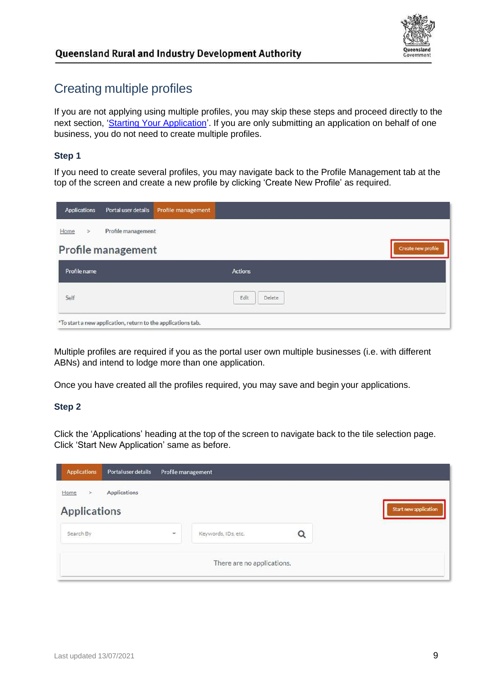

# <span id="page-8-0"></span>Creating multiple profiles

If you are not applying using multiple profiles, you may skip these steps and proceed directly to the next section, ['Starting Your Application'.](#page-10-0) If you are only submitting an application on behalf of one business, you do not need to create multiple profiles.

### **Step 1**

If you need to create several profiles, you may navigate back to the Profile Management tab at the top of the screen and create a new profile by clicking 'Create New Profile' as required.

| <b>Applications</b>   | Portal user details                                          | Profile management |                    |
|-----------------------|--------------------------------------------------------------|--------------------|--------------------|
| Home<br>$\rightarrow$ | Profile management                                           |                    |                    |
|                       | <b>Profile management</b>                                    |                    | Create new profile |
| Profile name          |                                                              |                    | Actions            |
| Self                  |                                                              |                    | Edit<br>Delete     |
|                       | *To start a new application, return to the applications tab. |                    |                    |

Multiple profiles are required if you as the portal user own multiple businesses (i.e. with different ABNs) and intend to lodge more than one application.

Once you have created all the profiles required, you may save and begin your applications.

#### **Step 2**

Click the 'Applications' heading at the top of the screen to navigate back to the tile selection page. Click 'Start New Application' same as before.

| <b>Applications</b>              | Portal user details | Profile management |                            |   |                       |
|----------------------------------|---------------------|--------------------|----------------------------|---|-----------------------|
| Home<br>><br><b>Applications</b> | Applications        |                    |                            |   | Start new application |
| Search By                        |                     | $\;$               | Keywords, IDs, etc.        | Q |                       |
|                                  |                     |                    | There are no applications. |   |                       |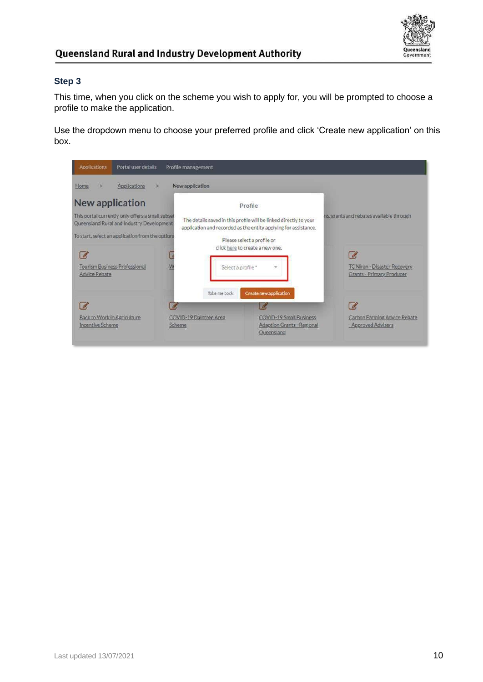

This time, when you click on the scheme you wish to apply for, you will be prompted to choose a profile to make the application.

Use the dropdown menu to choose your preferred profile and click 'Create new application' on this box.

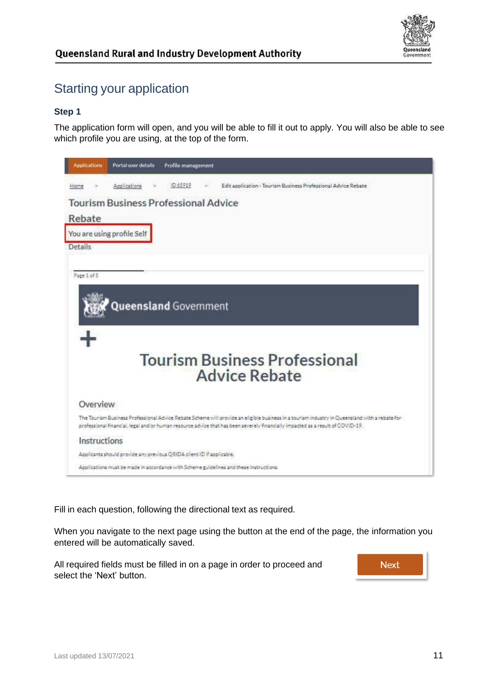

# <span id="page-10-0"></span>Starting your application

### **Step 1**

The application form will open, and you will be able to fill it out to apply. You will also be able to see which profile you are using, at the top of the form.



Fill in each question, following the directional text as required.

When you navigate to the next page using the button at the end of the page, the information you entered will be automatically saved.

All required fields must be filled in on a page in order to proceed and select the 'Next' button.

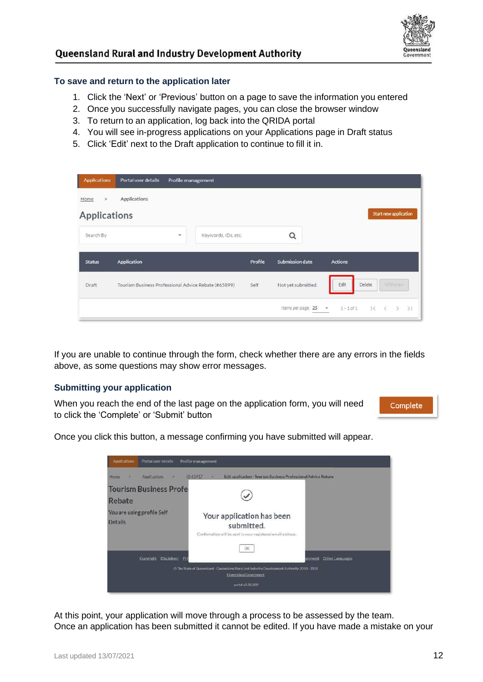

#### **To save and return to the application later**

- 1. Click the 'Next' or 'Previous' button on a page to save the information you entered
- 2. Once you successfully navigate pages, you can close the browser window
- 3. To return to an application, log back into the QRIDA portal
- 4. You will see in-progress applications on your Applications page in Draft status
- 5. Click 'Edit' next to the Draft application to continue to fill it in.

| <b>Applications</b> | Portal user details                                  | Profile management |                     |         |                        |                |                                                 |
|---------------------|------------------------------------------------------|--------------------|---------------------|---------|------------------------|----------------|-------------------------------------------------|
| Home<br>$\!>$       | <b>Applications</b>                                  |                    |                     |         |                        |                |                                                 |
| <b>Applications</b> |                                                      |                    |                     |         |                        |                | Start new application                           |
| Search By           |                                                      | ٠                  | Keywords, IDs, etc. |         | Q                      |                |                                                 |
| <b>Status</b>       | Application                                          |                    |                     | Profile | <b>Submission date</b> | <b>Actions</b> |                                                 |
| Draft               | Tourism Business Professional Advice Rebate (#65899) |                    |                     | Self    | Not yet submitted.     | Edit           | Withdraw<br><b>Delete</b>                       |
|                     |                                                      |                    |                     |         | Items per page: 25 -   | $1 - 1$ of $1$ | $\mathbb{R}$<br>$\langle \rangle$ $>$ $>$ $>$ 1 |

If you are unable to continue through the form, check whether there are any errors in the fields above, as some questions may show error messages.

#### **Submitting your application**

When you reach the end of the last page on the application form, you will need to click the 'Complete' or 'Submit' button

Complete

Once you click this button, a message confirming you have submitted will appear.

| Portal user details<br>Applications                             | Profile management                                                                                                   |        |                 |
|-----------------------------------------------------------------|----------------------------------------------------------------------------------------------------------------------|--------|-----------------|
| Applications<br>Home<br>۰<br>×<br><b>Tourism Business Profe</b> | 10 65917<br>Edit application - Tourism Business Professional Advice Rebate                                           |        |                 |
| Rebate                                                          |                                                                                                                      |        |                 |
| You are using profile Self<br><b>Details</b>                    | Your application has been<br>submitted.<br>Confirmation will be sent to your registered email address.               |        |                 |
|                                                                 | <b>OK</b>                                                                                                            |        |                 |
| Disclaimer Pri<br>Copyright                                     |                                                                                                                      | rnment | Other Languages |
|                                                                 | C The State of Queensland - Queensland Rural and Industry Development Authority 2010 - 2021<br>Queerstand Government |        |                 |
|                                                                 | portal v2.32.209                                                                                                     |        |                 |

At this point, your application will move through a process to be assessed by the team. Once an application has been submitted it cannot be edited. If you have made a mistake on your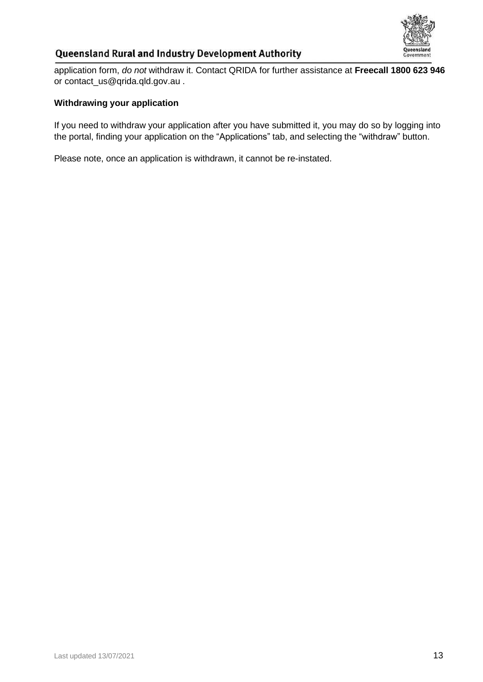

application form, *do not* withdraw it. Contact QRIDA for further assistance at **Freecall 1800 623 946** or [contact\\_us@qrida.qld.gov.au](mailto:contact_us@qrida.qld.gov.au) .

### **Withdrawing your application**

If you need to withdraw your application after you have submitted it, you may do so by logging into the portal, finding your application on the "Applications" tab, and selecting the "withdraw" button.

Please note, once an application is withdrawn, it cannot be re-instated.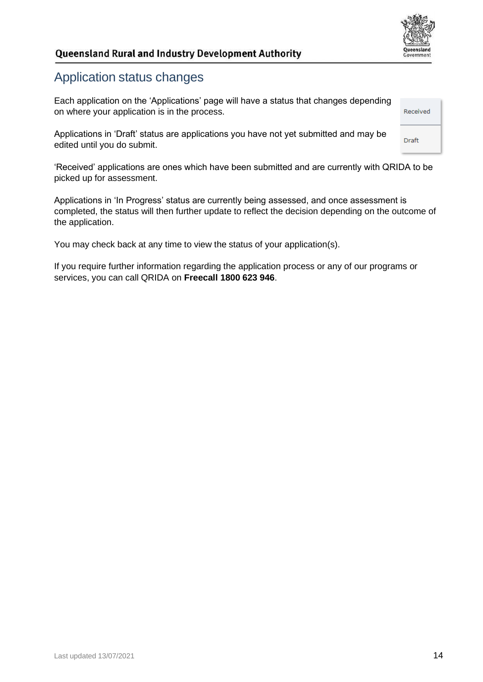

# <span id="page-13-0"></span>Application status changes

Each application on the 'Applications' page will have a status that changes depending on where your application is in the process.

Applications in 'Draft' status are applications you have not yet submitted and may be edited until you do submit.

'Received' applications are ones which have been submitted and are currently with QRIDA to be picked up for assessment.

Applications in 'In Progress' status are currently being assessed, and once assessment is completed, the status will then further update to reflect the decision depending on the outcome of the application.

You may check back at any time to view the status of your application(s).

If you require further information regarding the application process or any of our programs or services, you can call QRIDA on **Freecall 1800 623 946**.

Draft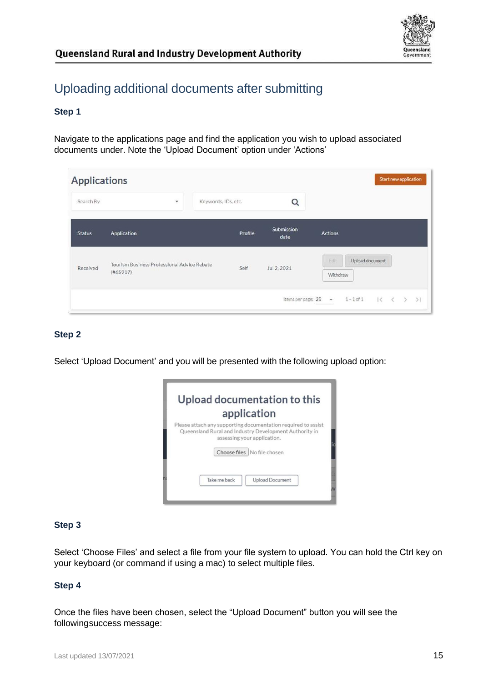

# <span id="page-14-0"></span>Uploading additional documents after submitting

### **Step 1**

Navigate to the applications page and find the application you wish to upload associated documents under. Note the 'Upload Document' option under 'Actions'

| <b>Applications</b> |                                                         |                     |         |                      | Start new application                            |
|---------------------|---------------------------------------------------------|---------------------|---------|----------------------|--------------------------------------------------|
| Search By           | $\check{}$                                              | Keywords, IDs, etc. |         | Q                    |                                                  |
| <b>Status</b>       | Application                                             |                     | Profile | Submission<br>date   | <b>Actions</b>                                   |
| Received            | Tourism Business Professional Advice Rebate<br>(#65917) |                     | Self    | Jul 2, 2021          | Edit<br>Upload document<br>Withdraw              |
|                     |                                                         |                     |         | Items per page: 25 - | $1 - 1$ of $1$<br>$\leq$<br>$\epsilon$<br>$\geq$ |

### **Step 2**

Select 'Upload Document' and you will be presented with the following upload option:

| application                                                                                                                                            |
|--------------------------------------------------------------------------------------------------------------------------------------------------------|
| Please attach any supporting documentation required to assist<br>Queensland Rural and Industry Development Authority in<br>assessing your application. |
| Choose files No file chosen                                                                                                                            |
| Take me back<br><b>Upload Document</b>                                                                                                                 |

### **Step 3**

Select 'Choose Files' and select a file from your file system to upload. You can hold the Ctrl key on your keyboard (or command if using a mac) to select multiple files.

### **Step 4**

Once the files have been chosen, select the "Upload Document" button you will see the following success message: